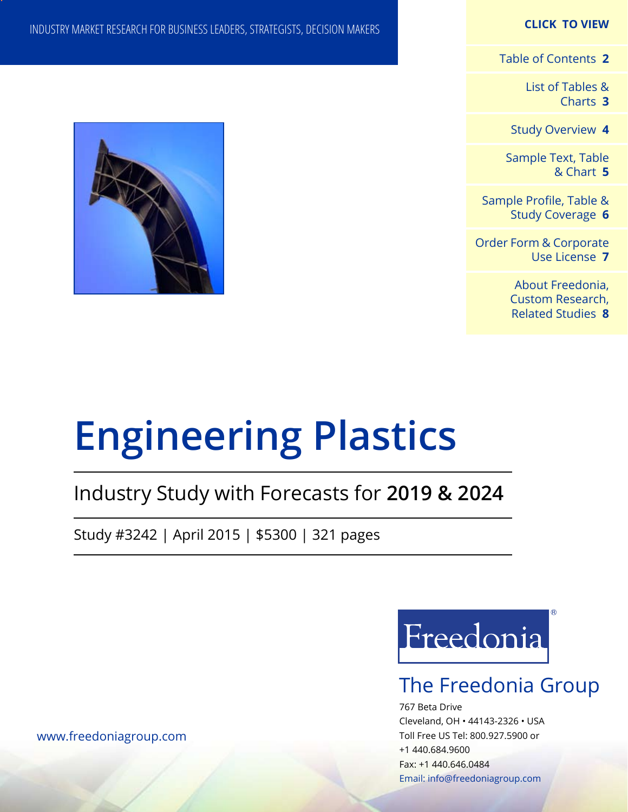#### **CLICK TO VIEW**

[Table of Contents](#page-1-0) **2**

[List of Tables &](#page-2-0) [Charts](#page-2-0) **3**

[Study Overview](#page-3-0) **4**

[Sample Text, Table](#page-4-0) [& Chart](#page-4-0) **5**

[Sample Profile, Table &](#page-5-0) [Study Coverage](#page-5-0) **6**

[Order Form & Corporate](#page-6-0) [Use License](#page-6-0) **7**

> [About Freedonia,](#page-7-0) [Custom Research,](#page-7-0)  [Related Studies](#page-7-0) **8**

INDUSTRY MARKET RESEARCH FOR BUSINESS LEADERS, STRATEGISTS, DECISION MAKERS



# **Engineering Plastics**

## Industry Study with Forecasts for **2019 & 2024**

Study #3242 | April 2015 | \$5300 | 321 pages



## The Freedonia Group

767 Beta Drive Cleveland, OH • 44143-2326 • USA Toll Free US Tel: 800.927.5900 or +1 440.684.9600 Fax: +1 440.646.0484 Email: [info@freedoniagroup.com](mailto:info@freedoniagroup.com)

[www.freedoniagroup.com](http://www.freedoniagroup.com/Home.aspx?ReferrerId=FM-Bro)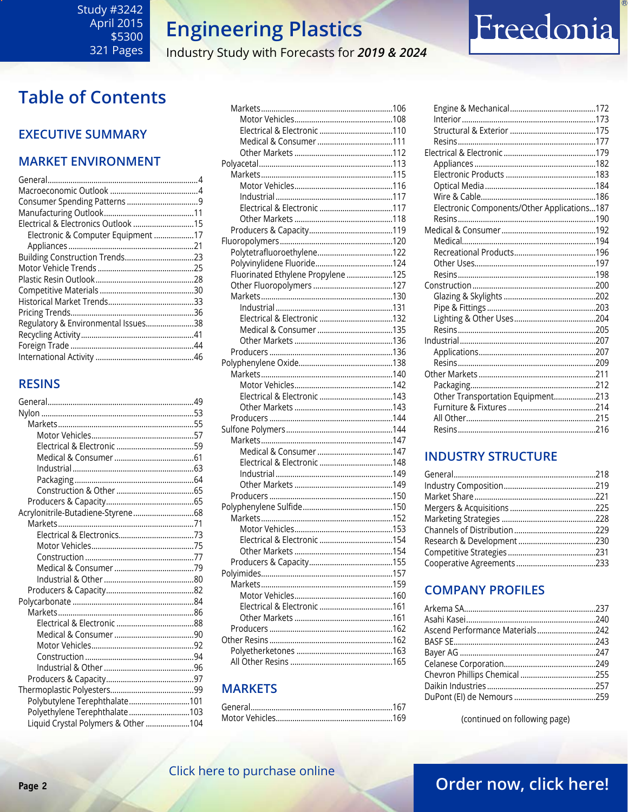Industry Study with Forecasts for 2019 & 2024

## <span id="page-1-0"></span>**Table of Contents**

### **EXECUTIVE SUMMARY**

### **MARKET ENVIRONMENT**

| Electrical & Electronics Outlook 15 |  |
|-------------------------------------|--|
| Electronic & Computer Equipment 17  |  |
|                                     |  |
| Building Construction Trends23      |  |
|                                     |  |
|                                     |  |
|                                     |  |
|                                     |  |
|                                     |  |
| Regulatory & Environmental Issues38 |  |
|                                     |  |
|                                     |  |
|                                     |  |
|                                     |  |

### **RESINS**

| Acrylonitrile-Butadiene-Styrene68  |  |
|------------------------------------|--|
|                                    |  |
|                                    |  |
|                                    |  |
|                                    |  |
|                                    |  |
|                                    |  |
|                                    |  |
|                                    |  |
|                                    |  |
|                                    |  |
|                                    |  |
|                                    |  |
|                                    |  |
|                                    |  |
|                                    |  |
|                                    |  |
| Polybutylene Terephthalate101      |  |
| Polyethylene Terephthalate103      |  |
| Liquid Crystal Polymers & Other104 |  |

| Fluorinated Ethylene Propylene 125 |  |
|------------------------------------|--|
|                                    |  |
|                                    |  |
|                                    |  |
|                                    |  |
| Electrical & Electronic 132        |  |
|                                    |  |
|                                    |  |
|                                    |  |
|                                    |  |
|                                    |  |
|                                    |  |
|                                    |  |
|                                    |  |
|                                    |  |
|                                    |  |
|                                    |  |
|                                    |  |
|                                    |  |
|                                    |  |
|                                    |  |
|                                    |  |
|                                    |  |
|                                    |  |
|                                    |  |
| Electrical & Electronic 154        |  |
|                                    |  |
|                                    |  |
|                                    |  |
|                                    |  |
|                                    |  |
|                                    |  |
|                                    |  |
|                                    |  |
|                                    |  |
|                                    |  |
|                                    |  |
|                                    |  |

### **MARKETS**

| Electronic Components/Other Applications187 |  |
|---------------------------------------------|--|
|                                             |  |
|                                             |  |
|                                             |  |
|                                             |  |
|                                             |  |
|                                             |  |
|                                             |  |
|                                             |  |
|                                             |  |
|                                             |  |
|                                             |  |
|                                             |  |
|                                             |  |
|                                             |  |
|                                             |  |
|                                             |  |
| Other Transportation Equipment213           |  |
|                                             |  |
|                                             |  |
|                                             |  |
|                                             |  |

Freedonia

#### **INDUSTRY STRUCTURE**

## **COMPANY PROFILES**

| Ascend Performance Materials242 |  |
|---------------------------------|--|
|                                 |  |
|                                 |  |
|                                 |  |
|                                 |  |
|                                 |  |
|                                 |  |
|                                 |  |

(continued on following page)

## Click here to purchase online

## Order now, click here!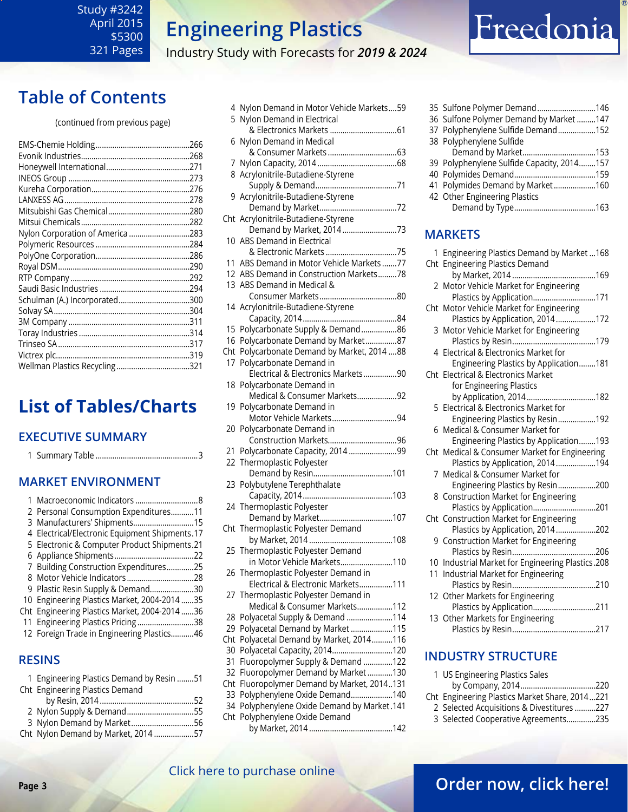#### <span id="page-2-0"></span>Study #3242 April 2015 \$5300 321 Pages

## **Engineering Plastics**

Industry Study with Forecasts for *2019 & 2024*

## **Table of Contents**

#### (continued from previous page)

| Nylon Corporation of America 283 |  |
|----------------------------------|--|
|                                  |  |
|                                  |  |
|                                  |  |
|                                  |  |
|                                  |  |
| Schulman (A.) Incorporated300    |  |
|                                  |  |
|                                  |  |
|                                  |  |
|                                  |  |
|                                  |  |
| Wellman Plastics Recycling321    |  |
|                                  |  |

## **List of Tables/Charts**

## **EXECUTIVE SUMMARY**

| EAELUTIVE SUIVIIVIAKY                          |  |  |  |
|------------------------------------------------|--|--|--|
|                                                |  |  |  |
| <b>MARKET ENVIRONMENT</b>                      |  |  |  |
| 1.                                             |  |  |  |
| 2 Personal Consumption Expenditures11          |  |  |  |
| 3 Manufacturers' Shipments15                   |  |  |  |
| 4 Electrical/Electronic Equipment Shipments.17 |  |  |  |
| 5 Electronic & Computer Product Shipments.21   |  |  |  |
|                                                |  |  |  |
| 7 Building Construction Expenditures25         |  |  |  |
|                                                |  |  |  |
| 9 Plastic Resin Supply & Demand30              |  |  |  |
| 10 Engineering Plastics Market, 2004-2014 35   |  |  |  |
| Cht Engineering Plastics Market, 2004-2014 36  |  |  |  |
| 11 Engineering Plastics Pricing38              |  |  |  |
| 12 Foreign Trade in Engineering Plastics46     |  |  |  |
| <b>RESINS</b>                                  |  |  |  |

| 1 Engineering Plastics Demand by Resin 51 |  |
|-------------------------------------------|--|
| Cht Engineering Plastics Demand           |  |
|                                           |  |
| 2 Nylon Supply & Demand55                 |  |
| 3 Nylon Demand by Market56                |  |
| Cht Nylon Demand by Market, 2014 57       |  |
|                                           |  |

|     | 4 Nylon Demand in Motor Vehicle Markets59   |
|-----|---------------------------------------------|
| 5   | Nylon Demand in Electrical                  |
|     | & Electronics Markets 61                    |
| 6   | Nylon Demand in Medical                     |
|     |                                             |
|     |                                             |
|     | 8 Acrylonitrile-Butadiene-Styrene           |
|     |                                             |
|     |                                             |
|     | 9 Acrylonitrile-Butadiene-Styrene           |
|     |                                             |
|     | Cht Acrylonitrile-Butadiene-Styrene         |
|     | Demand by Market, 2014 73                   |
|     | 10 ABS Demand in Electrical                 |
|     |                                             |
| 11  | ABS Demand in Motor Vehicle Markets77       |
|     | 12 ABS Demand in Construction Markets78     |
|     | 13 ABS Demand in Medical &                  |
|     |                                             |
|     | 14 Acrylonitrile-Butadiene-Styrene          |
|     |                                             |
|     |                                             |
|     | 15 Polycarbonate Supply & Demand86          |
|     | 16 Polycarbonate Demand by Market87         |
|     | Cht Polycarbonate Demand by Market, 2014 88 |
| 17  | Polycarbonate Demand in                     |
|     | Electrical & Electronics Markets90          |
| 18  | Polycarbonate Demand in                     |
|     | Medical & Consumer Markets92                |
| 19  | Polycarbonate Demand in                     |
|     | Motor Vehicle Markets94                     |
| 20  | Polycarbonate Demand in                     |
|     | Construction Markets96                      |
| 21  | Polycarbonate Capacity, 2014 99             |
|     | 22 Thermoplastic Polyester                  |
|     |                                             |
|     |                                             |
| 23  | Polybutylene Terephthalate                  |
|     |                                             |
|     | 24 Thermoplastic Polyester                  |
|     | Demand by Market107                         |
|     | Cht Thermoplastic Polyester Demand          |
|     |                                             |
|     | 25 Thermoplastic Polyester Demand           |
|     | in Motor Vehicle Markets110                 |
|     | 26 Thermoplastic Polyester Demand in        |
|     | Electrical & Electronic Markets111          |
| 27  | Thermoplastic Polyester Demand in           |
|     | Medical & Consumer Markets112               |
| 28  | Polyacetal Supply & Demand 114              |
|     |                                             |
| 29  | Polyacetal Demand by Market 115             |
| Cht | Polyacetal Demand by Market, 2014116        |
| 30  | Polyacetal Capacity, 2014120                |
| 31  | Fluoropolymer Supply & Demand 122           |
| 32  | Fluoropolymer Demand by Market130           |
| Cht | Fluoropolymer Demand by Market, 2014131     |
| 33  | Polyphenylene Oxide Demand140               |
| 34  | Polyphenylene Oxide Demand by Market.141    |
| Cht | Polyphenylene Oxide Demand                  |
|     |                                             |

| 35 Sulfone Polymer Demand146               |  |
|--------------------------------------------|--|
| 36 Sulfone Polymer Demand by Market 147    |  |
| 37 Polyphenylene Sulfide Demand152         |  |
| 38 Polyphenylene Sulfide                   |  |
|                                            |  |
| 39 Polyphenylene Sulfide Capacity, 2014157 |  |
|                                            |  |
| 41 Polymides Demand by Market160           |  |
| 42 Other Engineering Plastics              |  |
|                                            |  |
|                                            |  |
|                                            |  |

Freedonia

#### **MARKETS**

| 1 Engineering Plastics Demand by Market  168<br>Cht Engineering Plastics Demand |
|---------------------------------------------------------------------------------|
|                                                                                 |
| 2 Motor Vehicle Market for Engineering                                          |
| Plastics by Application171                                                      |
| Cht Motor Vehicle Market for Engineering<br>Plastics by Application, 2014172    |
| 3 Motor Vehicle Market for Engineering                                          |
|                                                                                 |
| 4 Electrical & Electronics Market for                                           |
| Engineering Plastics by Application181                                          |
| Cht Electrical & Electronics Market                                             |
| for Engineering Plastics                                                        |
| by Application, 2014182                                                         |
| 5 Electrical & Electronics Market for                                           |
| Engineering Plastics by Resin192                                                |
| 6 Medical & Consumer Market for                                                 |
| Engineering Plastics by Application193                                          |
| Cht Medical & Consumer Market for Engineering                                   |
| Plastics by Application, 2014194                                                |
| 7 Medical & Consumer Market for                                                 |
| Engineering Plastics by Resin200                                                |
| 8 Construction Market for Engineering                                           |
| Plastics by Application201                                                      |
| Cht Construction Market for Engineering                                         |
| Plastics by Application, 2014202                                                |
| 9 Construction Market for Engineering                                           |
| Plastics by Resin<br>……206                                                      |
| 10 Industrial Market for Engineering Plastics.208                               |
| 11 Industrial Market for Engineering                                            |
|                                                                                 |
| 12 Other Markets for Engineering                                                |
| Plastics by Application211<br>13 Other Markets for Engineering                  |
|                                                                                 |
|                                                                                 |

### **INDUSTRY STRUCTURE**

| 1 US Engineering Plastics Sales                |  |
|------------------------------------------------|--|
|                                                |  |
| Cht Engineering Plastics Market Share, 2014221 |  |
| 2 Selected Acquisitions & Divestitures 227     |  |
| 3 Selected Cooperative Agreements235           |  |
|                                                |  |

## [Click here to purchase online](http://www.freedoniagroup.com/DocumentDetails.aspx?Referrerid=FM-Bro&StudyID=3242)

## **Page 3 CHER HERE IS PARTICLE OF PARTICLE 2 [Order now, click here!](#page-6-0)**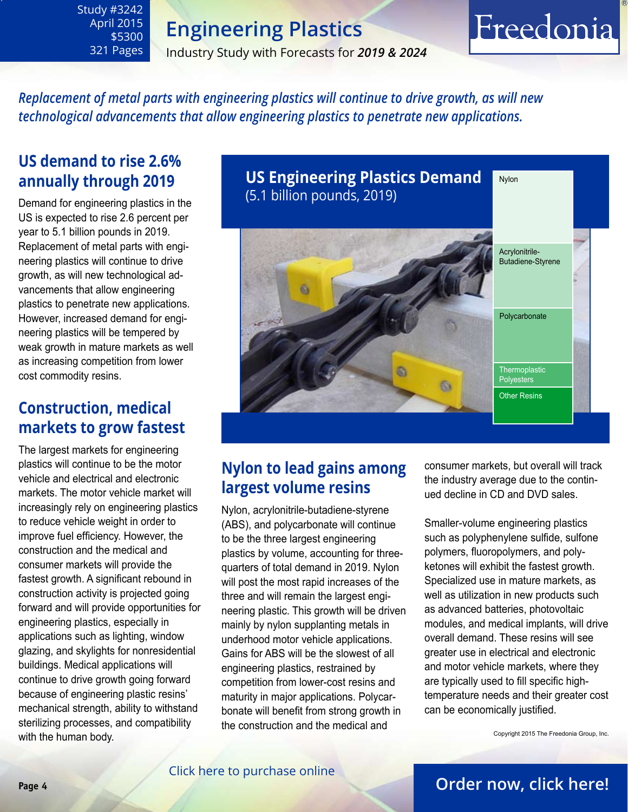Industry Study with Forecasts for *2019 & 2024*

## Freedonia

*Replacement of metal parts with engineering plastics will continue to drive growth, as will new technological advancements that allow engineering plastics to penetrate new applications.* 

## **US demand to rise 2.6% annually through 2019**

<span id="page-3-0"></span>Study #3242 April 2015 \$5300 321 Pages

Demand for engineering plastics in the US is expected to rise 2.6 percent per year to 5.1 billion pounds in 2019. Replacement of metal parts with engineering plastics will continue to drive growth, as will new technological advancements that allow engineering plastics to penetrate new applications. However, increased demand for engineering plastics will be tempered by weak growth in mature markets as well as increasing competition from lower cost commodity resins.

## **Construction, medical markets to grow fastest**

The largest markets for engineering plastics will continue to be the motor vehicle and electrical and electronic markets. The motor vehicle market will increasingly rely on engineering plastics to reduce vehicle weight in order to improve fuel efficiency. However, the construction and the medical and consumer markets will provide the fastest growth. A significant rebound in construction activity is projected going forward and will provide opportunities for engineering plastics, especially in applications such as lighting, window glazing, and skylights for nonresidential buildings. Medical applications will continue to drive growth going forward because of engineering plastic resins' mechanical strength, ability to withstand sterilizing processes, and compatibility with the human body.



## **Nylon to lead gains among largest volume resins**

Nylon, acrylonitrile-butadiene-styrene (ABS), and polycarbonate will continue to be the three largest engineering plastics by volume, accounting for threequarters of total demand in 2019. Nylon will post the most rapid increases of the three and will remain the largest engineering plastic. This growth will be driven mainly by nylon supplanting metals in underhood motor vehicle applications. Gains for ABS will be the slowest of all engineering plastics, restrained by competition from lower-cost resins and maturity in major applications. Polycarbonate will benefit from strong growth in the construction and the medical and

consumer markets, but overall will track the industry average due to the continued decline in CD and DVD sales.

Smaller-volume engineering plastics such as polyphenylene sulfide, sulfone polymers, fluoropolymers, and polyketones will exhibit the fastest growth. Specialized use in mature markets, as well as utilization in new products such as advanced batteries, photovoltaic modules, and medical implants, will drive overall demand. These resins will see greater use in electrical and electronic and motor vehicle markets, where they are typically used to fill specific hightemperature needs and their greater cost can be economically justified.

Copyright 2015 The Freedonia Group, Inc.

## **Page 4 [Order now, click here!](#page-6-0)**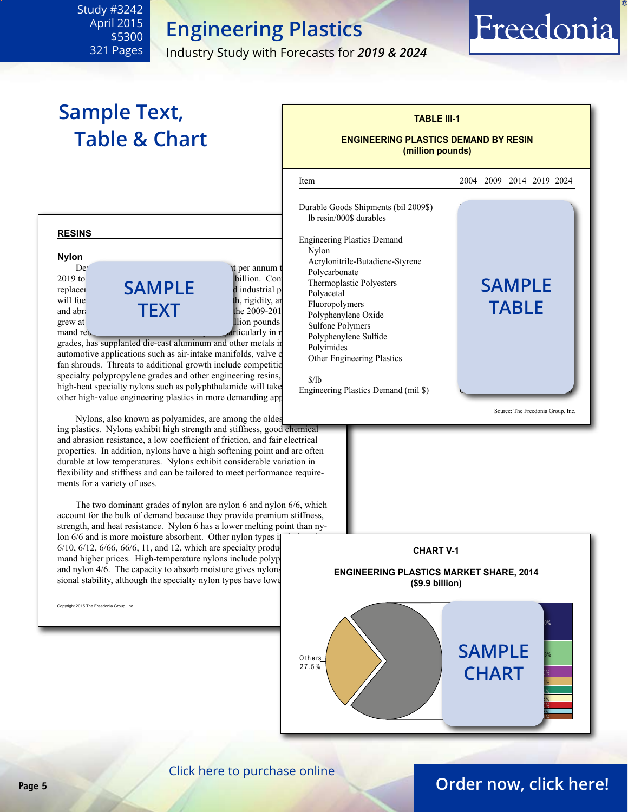Industry Study with Forecasts for *2019 & 2024*

## **Sample Text, Table & Chart**

<span id="page-4-0"></span>Study #3242 April 2015 \$5300 321 Pages

## **RESINS Nylon** Demand for nylon will increase 3.0 per annum through  $\alpha$  being annum through  $\alpha$  $2019$  to  $\overline{a}$  a value of  $\overline{a}$  billion. Continued of  $\overline{b}$ replacer **SAMPLE** dindustrial p

will fue  $\overline{H}$  and abraces based on  $\overline{H}$  in  $\overline{H}$  is the 2009-201 and abrasion **TEXT** during the 2009-201<sup>p</sup> period of the 2009-201<sup>p</sup> period of the 2009-201<sup>p</sup> period of the 2009-201<sup>p</sup> grew at  $\frac{1}{2}$  percent and pounds are demand rebounded from the recession. Next, particularly in reduced from the recent recession. Next, particularly in re

grades, has supplanted die-cast aluminum and other metals in automotive applications such as air-intake manifolds, valve of fan shrouds. Threats to additional growth include competition specialty polypropylene grades and other engineering resins,  $\frac{\S}{\S}$ high-heat specialty nylons such as polyphthalamide will take other high-value engineering plastics in more demanding app

Nylons, also known as polyamides, are among the oldes

ing plastics. Nylons exhibit high strength and stiffness, good chemical and abrasion resistance, a low coefficient of friction, and fair electrical properties. In addition, nylons have a high softening point and are often durable at low temperatures. Nylons exhibit considerable variation in flexibility and stiffness and can be tailored to meet performance requirements for a variety of uses.

 The two dominant grades of nylon are nylon 6 and nylon 6/6, which account for the bulk of demand because they provide premium stiffness, strength, and heat resistance. Nylon 6 has a lower melting point than nylon 6/6 and is more moisture absorbent. Other nylon types in

6/10,  $6/12$ ,  $6/66$ ,  $66/6$ ,  $11$ , and 12, which are specialty products mand higher prices. High-temperature nylons include polyp and nylon  $4/6$ . The capacity to absorb moisture gives nylons sional stability, although the specialty nylon types have lower

Copyright 2015 The Freedonia Group, Inc. Commence of the Contract of the Contract of the Contract of the Contract of the Contract of the Contract of the Contract of the Contract of the Contract of the Contract of the Contr



**TABLE III-1**

Freedonia



[Click here to purchase online](http://www.freedoniagroup.com/DocumentDetails.aspx?Referrerid=FM-Bro&StudyID=3242)

## **Page 5 [Order now, click here!](#page-6-0)**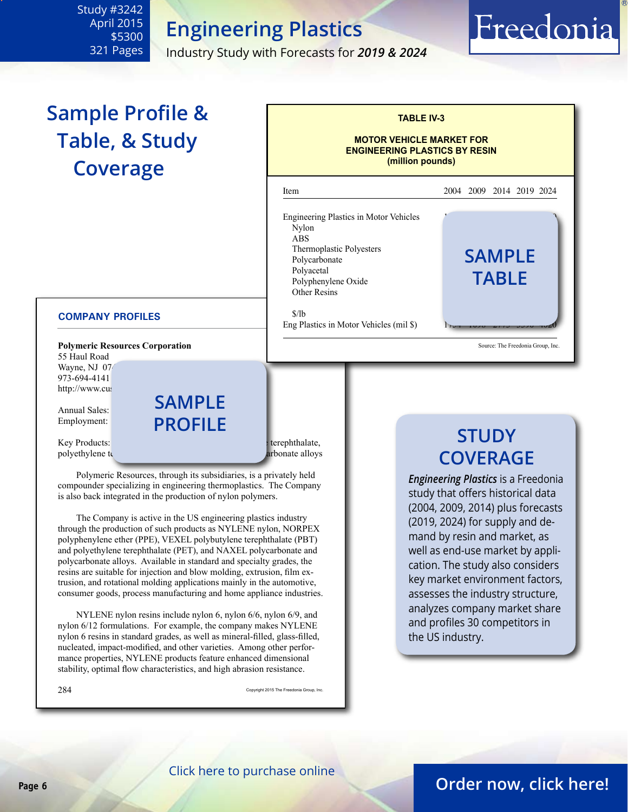Industry Study with Forecasts for *2019 & 2024*

## Freedonia

## **Sample Profile & Table, & Study Coverage**

<span id="page-5-0"></span>Study #3242 April 2015 \$5300 321 Pages

#### **MOTOR VEHICLE MARKET FOR ENGINEERING PLASTICS BY RESIN (million pounds)** l Item 2004 2009 2014 2019 2024 Engineering Plastics in Motor Vehicles  $Nylon$   $\qquad \qquad \qquad$   $\qquad \qquad$   $\qquad \qquad$   $\qquad \qquad$   $\qquad \qquad$   $\qquad \qquad$   $\qquad \qquad$   $\qquad \qquad$   $\qquad \qquad$   $\qquad \qquad$   $\qquad \qquad$   $\qquad \qquad$   $\qquad \qquad$   $\qquad \qquad$   $\qquad \qquad$   $\qquad \qquad$   $\qquad \qquad$   $\qquad \qquad$   $\qquad \qquad$   $\qquad \qquad$   $\qquad \qquad$   $\qquad \qquad$   $\qquad \qquad$   $\qquad \$  $\overline{ABS}$ Thermoplastic Polyesters **Product Asset Asset Asset Asset Asset Asset Asset Asset Asset Asset Asset Asset Asset Asset Asset Asset Asset Asset Asset Asset Asset Asset Asset Asset Asset Asset Asset Asset Asset Asset Asset Asset Asset Asset Asset Ass** Polyacetal<br>Polyphenylene Oxide **TABLE** Polyphenylene Oxide Other Resins  $\frac{\sqrt{3}}{16}$ Eng Plastics in Motor Vehicles (mil \$) Source: The Freedonia Group, Inc.

**TABLE IV-3**

#### **COMPANY PROFILES**

**Polymeric Resources Corporation** 55 Haul Road Wayne, NJ 074 973-694-4141 http://www.cus **sample**

Annual Sales: Employment:

Key Products: nylon, polygie ether, polygie ether, polygie ether, polygie ether, polygie ether, polygie ether, polygie ether, polygie ether, polygie ether, polygie ether, polygie ether, polygie ether, polygie ether, polygi polyethylene terms of the polycarbonate alloys and polycarbonate alloys

 Polymeric Resources, through its subsidiaries, is a privately held compounder specializing in engineering thermoplastics. The Company is also back integrated in the production of nylon polymers.

**profile**

 The Company is active in the US engineering plastics industry through the production of such products as NYLENE nylon, NORPEX polyphenylene ether (PPE), VEXEL polybutylene terephthalate (PBT) and polyethylene terephthalate (PET), and NAXEL polycarbonate and polycarbonate alloys. Available in standard and specialty grades, the resins are suitable for injection and blow molding, extrusion, film extrusion, and rotational molding applications mainly in the automotive, consumer goods, process manufacturing and home appliance industries.

 NYLENE nylon resins include nylon 6, nylon 6/6, nylon 6/9, and nylon 6/12 formulations. For example, the company makes NYLENE nylon 6 resins in standard grades, as well as mineral-filled, glass-filled, nucleated, impact-modified, and other varieties. Among other performance properties, NYLENE products feature enhanced dimensional stability, optimal flow characteristics, and high abrasion resistance.

 $284$  Copyright 2015 The Freedonia Group, Inc.

## **STUDY COVERAGE**

*Engineering Plastics* is a Freedonia study that offers historical data (2004, 2009, 2014) plus forecasts (2019, 2024) for supply and demand by resin and market, as well as end-use market by application. The study also considers key market environment factors, assesses the industry structure, analyzes company market share and profiles 30 competitors in the US industry.

#### [Click here to purchase online](http://www.freedoniagroup.com/DocumentDetails.aspx?Referrerid=FM-Bro&StudyID=3242)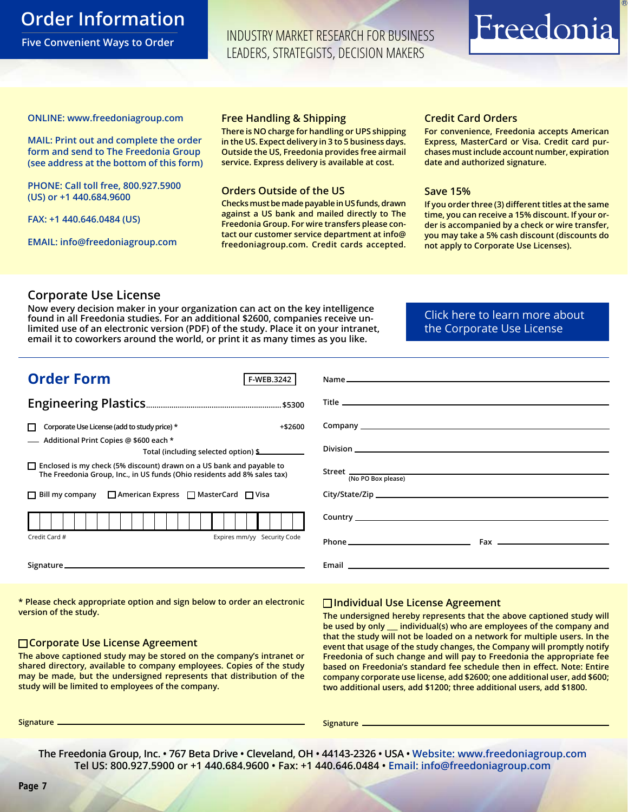## <span id="page-6-0"></span>**Order Information**

**Five Convenient Ways to Order**

INDUSTRY MARKET RESEARCH FOR BUSINESS LEADERS, STRATEGISTS, DECISION MAKERS

## Freedonia

#### **ONLINE: [www.freedoniagroup.com](http://www.freedoniagroup.com/DocumentDetails.aspx?Referrerid=FM-Bro&StudyID=3242)**

**MAIL: Print out and complete the order form and send to The Freedonia Group (see address at the bottom of this form)**

**PHONE: Call toll free, 800.927.5900 (US) or +1 440.684.9600**

**FAX: +1 440.646.0484 (US)**

**EMAIL: [info@freedoniagroup.com](mailto:info@freedoniagroup.com)**

#### **Free Handling & Shipping**

**There is NO charge for handling or UPS shipping in the US. Expect delivery in 3 to 5 business days. Outside the US, Freedonia provides free airmail service. Express delivery is available at cost.**

#### **Orders Outside of the US**

**Checks must be made payable in US funds, drawn against a US bank and mailed directly to The Freedonia Group. For wire transfers please contact our customer service department at info@ freedoniagroup.com. Credit cards accepted.**

#### **Credit Card Orders**

**For convenience, Freedonia accepts American Express, MasterCard or Visa. Credit card purchases must include account number, expiration date and authorized signature.**

#### **Save 15%**

**If you order three (3) different titles at the same time, you can receive a 15% discount. If your order is accompanied by a check or wire transfer, you may take a 5% cash discount (discounts do not apply to Corporate Use Licenses).**

#### **Corporate Use License**

**Now every decision maker in your organization can act on the key intelligence found in all Freedonia studies. For an additional \$2600, companies receive unlimited use of an electronic version (PDF) of the study. Place it on your intranet, email it to coworkers around the world, or print it as many times as you like.** 

[Click here to learn more about](http://www.freedoniagroup.com/pdf/FreedoniaCULBro.pdf)  [the Corporate Use License](http://www.freedoniagroup.com/pdf/FreedoniaCULBro.pdf)

| (No PO Box please) |
|--------------------|
|                    |
|                    |
| Phone $\qquad$     |
|                    |
|                    |

**\* Please check appropriate option and sign below to order an electronic version of the study.**

#### **Corporate Use License Agreement**

**The above captioned study may be stored on the company's intranet or shared directory, available to company employees. Copies of the study may be made, but the undersigned represents that distribution of the study will be limited to employees of the company.**

#### **Individual Use License Agreement**

**The undersigned hereby represents that the above captioned study will be used by only \_\_\_ individual(s) who are employees of the company and that the study will not be loaded on a network for multiple users. In the event that usage of the study changes, the Company will promptly notify Freedonia of such change and will pay to Freedonia the appropriate fee based on Freedonia's standard fee schedule then in effect. Note: Entire company corporate use license, add \$2600; one additional user, add \$600; two additional users, add \$1200; three additional users, add \$1800.**

**Signature Signature**

**The Freedonia Group, Inc. • 767 Beta Drive • Cleveland, OH • 44143-2326 • USA • [Website: www.freedoniagroup.com](http://www.freedoniagroup.com/Home.aspx?ReferrerId=FM-Bro) Tel US: 800.927.5900 or +1 440.684.9600 • Fax: +1 440.646.0484 • [Email: info@freedoniagroup.com](mailto:info@freedoniagroup.com)**